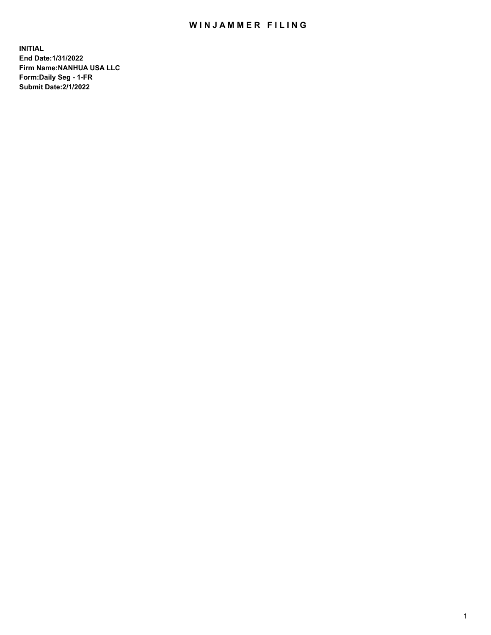## WIN JAMMER FILING

**INITIAL End Date:1/31/2022 Firm Name:NANHUA USA LLC Form:Daily Seg - 1-FR Submit Date:2/1/2022**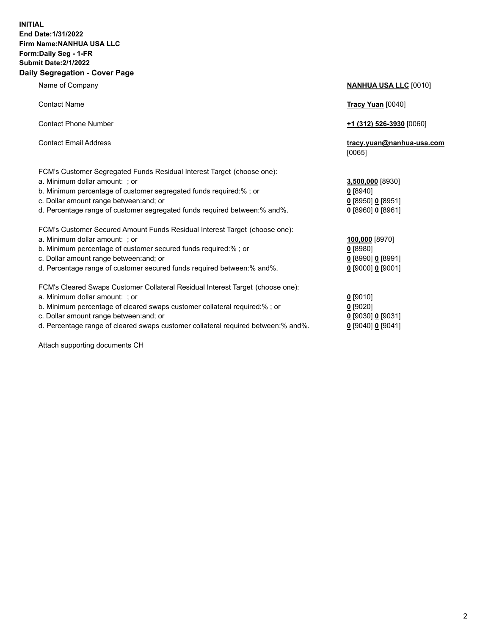## **INITIAL End Date:1/31/2022 Firm Name:NANHUA USA LLC Form:Daily Seg - 1-FR Submit Date:2/1/2022 Daily Segregation - Cover Page**

Name of Company **NANHUA USA LLC** [0010] Contact Name **Tracy Yuan** [0040] Contact Phone Number **+1 (312) 526-3930** [0060] Contact Email Address **tracy.yuan@nanhua-usa.com** [0065] FCM's Customer Segregated Funds Residual Interest Target (choose one): a. Minimum dollar amount: ; or **3,500,000** [8930] b. Minimum percentage of customer segregated funds required:% ; or **0** [8940] c. Dollar amount range between:and; or **0** [8950] **0** [8951] d. Percentage range of customer segregated funds required between:% and%. **0** [8960] **0** [8961] FCM's Customer Secured Amount Funds Residual Interest Target (choose one): a. Minimum dollar amount: ; or **100,000** [8970] b. Minimum percentage of customer secured funds required:% ; or **0** [8980] c. Dollar amount range between:and; or **0** [8990] **0** [8991] d. Percentage range of customer secured funds required between:% and%. **0** [9000] **0** [9001] FCM's Cleared Swaps Customer Collateral Residual Interest Target (choose one): a. Minimum dollar amount: ; or **0** [9010] b. Minimum percentage of cleared swaps customer collateral required:% ; or **0** [9020] c. Dollar amount range between:and; or **0** [9030] **0** [9031]

d. Percentage range of cleared swaps customer collateral required between:% and%. **0** [9040] **0** [9041]

Attach supporting documents CH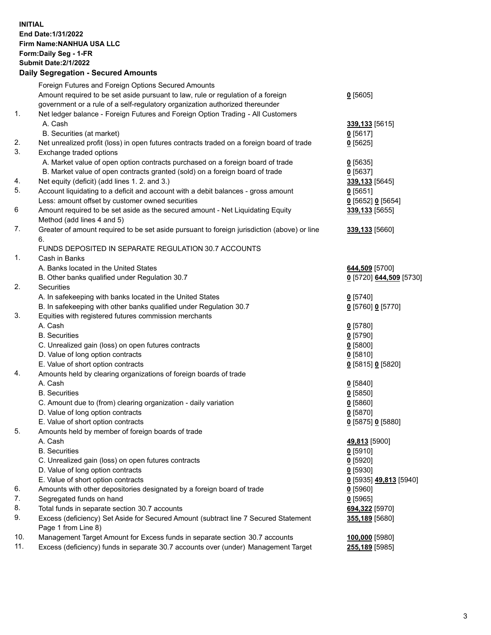**INITIAL End Date:1/31/2022 Firm Name:NANHUA USA LLC Form:Daily Seg - 1-FR Submit Date:2/1/2022 Daily Segregation - Secured Amounts**

## Foreign Futures and Foreign Options Secured Amounts Amount required to be set aside pursuant to law, rule or regulation of a foreign government or a rule of a self-regulatory organization authorized thereunder **0** [5605] 1. Net ledger balance - Foreign Futures and Foreign Option Trading - All Customers A. Cash **339,133** [5615] B. Securities (at market) **0** [5617] 2. Net unrealized profit (loss) in open futures contracts traded on a foreign board of trade **0** [5625] 3. Exchange traded options A. Market value of open option contracts purchased on a foreign board of trade **0** [5635] B. Market value of open contracts granted (sold) on a foreign board of trade **0** [5637] 4. Net equity (deficit) (add lines 1. 2. and 3.) **339,133** [5645] 5. Account liquidating to a deficit and account with a debit balances - gross amount **0** [5651] Less: amount offset by customer owned securities **0** [5652] **0** [5654] 6 Amount required to be set aside as the secured amount - Net Liquidating Equity Method (add lines 4 and 5) **339,133** [5655] 7. Greater of amount required to be set aside pursuant to foreign jurisdiction (above) or line 6. **339,133** [5660] FUNDS DEPOSITED IN SEPARATE REGULATION 30.7 ACCOUNTS 1. Cash in Banks A. Banks located in the United States **644,509** [5700] B. Other banks qualified under Regulation 30.7 **0** [5720] **644,509** [5730] 2. Securities A. In safekeeping with banks located in the United States **0** [5740] B. In safekeeping with other banks qualified under Regulation 30.7 **0** [5760] **0** [5770] 3. Equities with registered futures commission merchants A. Cash **0** [5780] B. Securities **0** [5790] C. Unrealized gain (loss) on open futures contracts **0** [5800] D. Value of long option contracts **0** [5810] E. Value of short option contracts **0** [5815] **0** [5820] 4. Amounts held by clearing organizations of foreign boards of trade A. Cash **0** [5840] B. Securities **0** [5850] C. Amount due to (from) clearing organization - daily variation **0** [5860] D. Value of long option contracts **0** [5870] E. Value of short option contracts **0** [5875] **0** [5880] 5. Amounts held by member of foreign boards of trade A. Cash **49,813** [5900] B. Securities **0** [5910] C. Unrealized gain (loss) on open futures contracts **0** [5920] D. Value of long option contracts **0** [5930] E. Value of short option contracts **0** [5935] **49,813** [5940] 6. Amounts with other depositories designated by a foreign board of trade **0** [5960] 7. Segregated funds on hand **0** [5965] 8. Total funds in separate section 30.7 accounts **694,322** [5970] 9. Excess (deficiency) Set Aside for Secured Amount (subtract line 7 Secured Statement Page 1 from Line 8) **355,189** [5680] 10. Management Target Amount for Excess funds in separate section 30.7 accounts **100,000** [5980] 11. Excess (deficiency) funds in separate 30.7 accounts over (under) Management Target **255,189** [5985]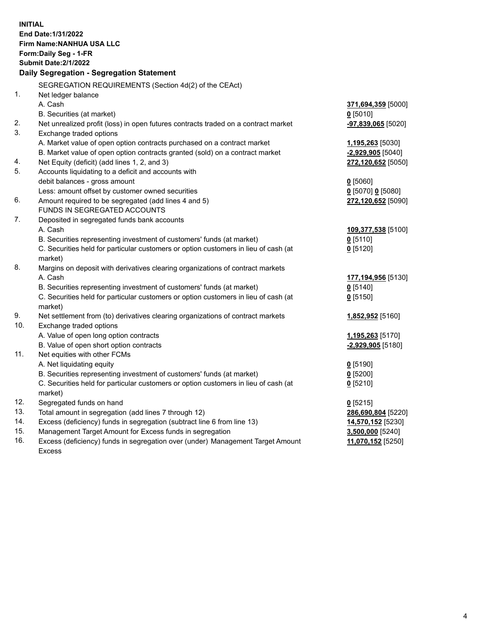| <b>INITIAL</b>                            | End Date: 1/31/2022                                                                                        |                     |  |
|-------------------------------------------|------------------------------------------------------------------------------------------------------------|---------------------|--|
| Firm Name: NANHUA USA LLC                 |                                                                                                            |                     |  |
|                                           | Form: Daily Seg - 1-FR                                                                                     |                     |  |
|                                           | <b>Submit Date: 2/1/2022</b>                                                                               |                     |  |
| Daily Segregation - Segregation Statement |                                                                                                            |                     |  |
|                                           | SEGREGATION REQUIREMENTS (Section 4d(2) of the CEAct)                                                      |                     |  |
| 1.                                        | Net ledger balance                                                                                         |                     |  |
|                                           | A. Cash                                                                                                    | 371,694,359 [5000]  |  |
|                                           | B. Securities (at market)                                                                                  | $0$ [5010]          |  |
| 2.                                        | Net unrealized profit (loss) in open futures contracts traded on a contract market                         | -97,839,065 [5020]  |  |
| 3.                                        | Exchange traded options                                                                                    |                     |  |
|                                           | A. Market value of open option contracts purchased on a contract market                                    | 1,195,263 [5030]    |  |
|                                           | B. Market value of open option contracts granted (sold) on a contract market                               | $-2,929,905$ [5040] |  |
| 4.                                        | Net Equity (deficit) (add lines 1, 2, and 3)                                                               | 272,120,652 [5050]  |  |
| 5.                                        | Accounts liquidating to a deficit and accounts with                                                        |                     |  |
|                                           | debit balances - gross amount                                                                              | $0$ [5060]          |  |
|                                           | Less: amount offset by customer owned securities                                                           | 0 [5070] 0 [5080]   |  |
| 6.                                        | Amount required to be segregated (add lines 4 and 5)                                                       | 272,120,652 [5090]  |  |
|                                           | FUNDS IN SEGREGATED ACCOUNTS                                                                               |                     |  |
| 7.                                        | Deposited in segregated funds bank accounts                                                                |                     |  |
|                                           | A. Cash                                                                                                    | 109,377,538 [5100]  |  |
|                                           | B. Securities representing investment of customers' funds (at market)                                      | $0$ [5110]          |  |
|                                           | C. Securities held for particular customers or option customers in lieu of cash (at                        | $0$ [5120]          |  |
|                                           | market)                                                                                                    |                     |  |
| 8.                                        | Margins on deposit with derivatives clearing organizations of contract markets                             |                     |  |
|                                           | A. Cash                                                                                                    | 177,194,956 [5130]  |  |
|                                           | B. Securities representing investment of customers' funds (at market)                                      | $0$ [5140]          |  |
|                                           | C. Securities held for particular customers or option customers in lieu of cash (at                        | $0$ [5150]          |  |
|                                           | market)                                                                                                    |                     |  |
| 9.<br>10.                                 | Net settlement from (to) derivatives clearing organizations of contract markets<br>Exchange traded options | 1,852,952 [5160]    |  |
|                                           | A. Value of open long option contracts                                                                     | 1,195,263 [5170]    |  |
|                                           | B. Value of open short option contracts                                                                    | -2,929,905 [5180]   |  |
| 11.                                       | Net equities with other FCMs                                                                               |                     |  |
|                                           | A. Net liquidating equity                                                                                  | $0$ [5190]          |  |
|                                           | B. Securities representing investment of customers' funds (at market)                                      | $0$ [5200]          |  |
|                                           | C. Securities held for particular customers or option customers in lieu of cash (at                        | $0$ [5210]          |  |
|                                           | market)                                                                                                    |                     |  |
| 12.                                       | Segregated funds on hand                                                                                   | $0$ [5215]          |  |
| 13.                                       | Total amount in segregation (add lines 7 through 12)                                                       | 286,690,804 [5220]  |  |
| 14.                                       | Excess (deficiency) funds in segregation (subtract line 6 from line 13)                                    | 14,570,152 [5230]   |  |
| 15.                                       | Management Target Amount for Excess funds in segregation                                                   | 3,500,000 [5240]    |  |
| 16.                                       | Excess (deficiency) funds in segregation over (under) Management Target Amount                             | 11,070,152 [5250]   |  |
|                                           | <b>Excess</b>                                                                                              |                     |  |